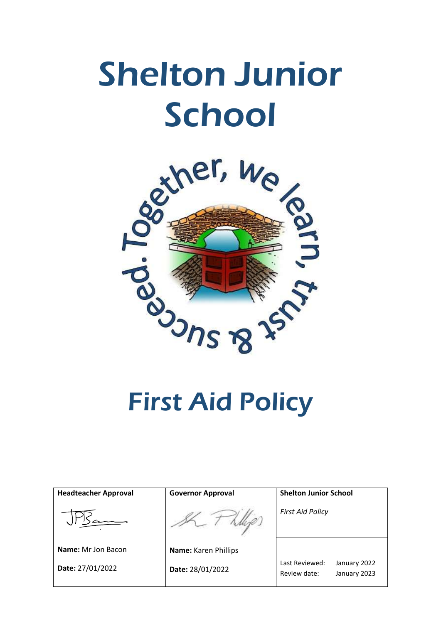# Shelton Junior School



First Aid Policy

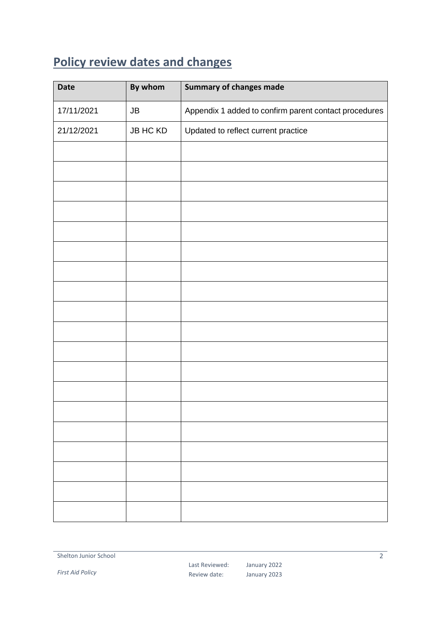# <span id="page-1-0"></span>**Policy review dates and changes**

| <b>Date</b> | By whom         | <b>Summary of changes made</b>                        |
|-------------|-----------------|-------------------------------------------------------|
| 17/11/2021  | JB              | Appendix 1 added to confirm parent contact procedures |
| 21/12/2021  | <b>JB HC KD</b> | Updated to reflect current practice                   |
|             |                 |                                                       |
|             |                 |                                                       |
|             |                 |                                                       |
|             |                 |                                                       |
|             |                 |                                                       |
|             |                 |                                                       |
|             |                 |                                                       |
|             |                 |                                                       |
|             |                 |                                                       |
|             |                 |                                                       |
|             |                 |                                                       |
|             |                 |                                                       |
|             |                 |                                                       |
|             |                 |                                                       |
|             |                 |                                                       |
|             |                 |                                                       |
|             |                 |                                                       |
|             |                 |                                                       |
|             |                 |                                                       |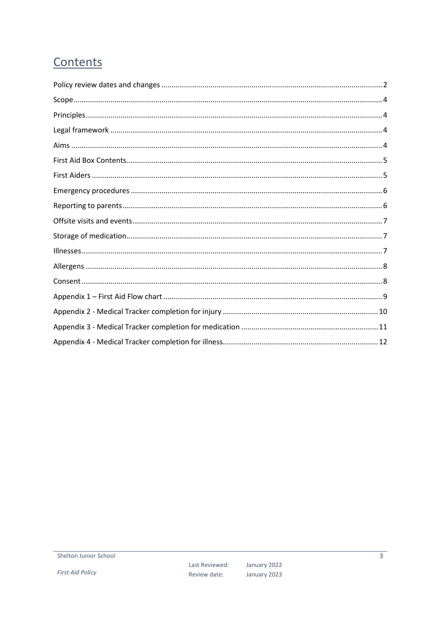# Contents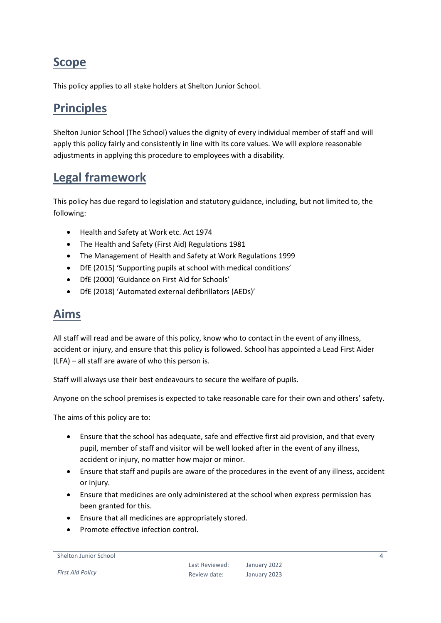## <span id="page-3-0"></span>**Scope**

This policy applies to all stake holders at Shelton Junior School.

# <span id="page-3-1"></span>**Principles**

Shelton Junior School (The School) values the dignity of every individual member of staff and will apply this policy fairly and consistently in line with its core values. We will explore reasonable adjustments in applying this procedure to employees with a disability.

## <span id="page-3-2"></span>**Legal framework**

This policy has due regard to legislation and statutory guidance, including, but not limited to, the following:

- Health and Safety at Work etc. Act 1974
- The Health and Safety (First Aid) Regulations 1981
- The Management of Health and Safety at Work Regulations 1999
- DfE (2015) 'Supporting pupils at school with medical conditions'
- DfE (2000) 'Guidance on First Aid for Schools'
- DfE (2018) 'Automated external defibrillators (AEDs)'

#### <span id="page-3-3"></span>**Aims**

All staff will read and be aware of this policy, know who to contact in the event of any illness, accident or injury, and ensure that this policy is followed. School has appointed a Lead First Aider (LFA) – all staff are aware of who this person is.

Staff will always use their best endeavours to secure the welfare of pupils.

Anyone on the school premises is expected to take reasonable care for their own and others' safety.

The aims of this policy are to:

- Ensure that the school has adequate, safe and effective first aid provision, and that every pupil, member of staff and visitor will be well looked after in the event of any illness, accident or injury, no matter how major or minor.
- Ensure that staff and pupils are aware of the procedures in the event of any illness, accident or injury.
- Ensure that medicines are only administered at the school when express permission has been granted for this.
- Ensure that all medicines are appropriately stored.
- Promote effective infection control.

```
Shelton Junior School
```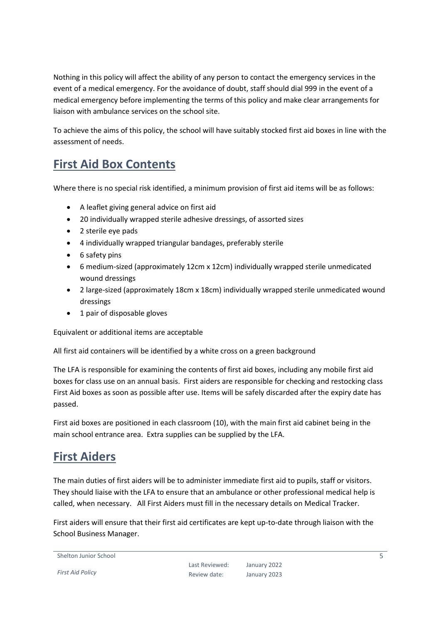Nothing in this policy will affect the ability of any person to contact the emergency services in the event of a medical emergency. For the avoidance of doubt, staff should dial 999 in the event of a medical emergency before implementing the terms of this policy and make clear arrangements for liaison with ambulance services on the school site.

To achieve the aims of this policy, the school will have suitably stocked first aid boxes in line with the assessment of needs.

## <span id="page-4-0"></span>**First Aid Box Contents**

Where there is no special risk identified, a minimum provision of first aid items will be as follows:

- A leaflet giving general advice on first aid
- 20 individually wrapped sterile adhesive dressings, of assorted sizes
- 2 sterile eve pads
- 4 individually wrapped triangular bandages, preferably sterile
- 6 safety pins
- 6 medium-sized (approximately 12cm x 12cm) individually wrapped sterile unmedicated wound dressings
- 2 large-sized (approximately 18cm x 18cm) individually wrapped sterile unmedicated wound dressings
- 1 pair of disposable gloves

Equivalent or additional items are acceptable

All first aid containers will be identified by a white cross on a green background

The LFA is responsible for examining the contents of first aid boxes, including any mobile first aid boxes for class use on an annual basis. First aiders are responsible for checking and restocking class First Aid boxes as soon as possible after use. Items will be safely discarded after the expiry date has passed.

First aid boxes are positioned in each classroom (10), with the main first aid cabinet being in the main school entrance area. Extra supplies can be supplied by the LFA.

## <span id="page-4-1"></span>**First Aiders**

The main duties of first aiders will be to administer immediate first aid to pupils, staff or visitors. They should liaise with the LFA to ensure that an ambulance or other professional medical help is called, when necessary. All First Aiders must fill in the necessary details on Medical Tracker.

First aiders will ensure that their first aid certificates are kept up-to-date through liaison with the School Business Manager.

```
Shelton Junior School
```
*First Aid Policy*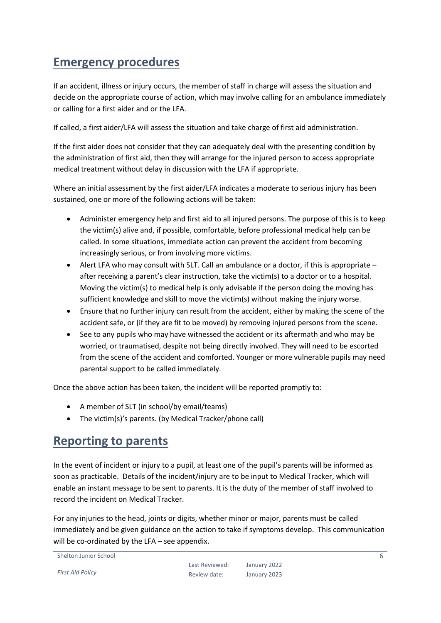## <span id="page-5-0"></span>**Emergency procedures**

If an accident, illness or injury occurs, the member of staff in charge will assess the situation and decide on the appropriate course of action, which may involve calling for an ambulance immediately or calling for a first aider and or the LFA.

If called, a first aider/LFA will assess the situation and take charge of first aid administration.

If the first aider does not consider that they can adequately deal with the presenting condition by the administration of first aid, then they will arrange for the injured person to access appropriate medical treatment without delay in discussion with the LFA if appropriate.

Where an initial assessment by the first aider/LFA indicates a moderate to serious injury has been sustained, one or more of the following actions will be taken:

- Administer emergency help and first aid to all injured persons. The purpose of this is to keep the victim(s) alive and, if possible, comfortable, before professional medical help can be called. In some situations, immediate action can prevent the accident from becoming increasingly serious, or from involving more victims.
- Alert LFA who may consult with SLT. Call an ambulance or a doctor, if this is appropriate after receiving a parent's clear instruction, take the victim(s) to a doctor or to a hospital. Moving the victim(s) to medical help is only advisable if the person doing the moving has sufficient knowledge and skill to move the victim(s) without making the injury worse.
- Ensure that no further injury can result from the accident, either by making the scene of the accident safe, or (if they are fit to be moved) by removing injured persons from the scene.
- See to any pupils who may have witnessed the accident or its aftermath and who may be worried, or traumatised, despite not being directly involved. They will need to be escorted from the scene of the accident and comforted. Younger or more vulnerable pupils may need parental support to be called immediately.

Once the above action has been taken, the incident will be reported promptly to:

- A member of SLT (in school/by email/teams)
- The victim(s)'s parents. (by Medical Tracker/phone call)

#### <span id="page-5-1"></span>**Reporting to parents**

In the event of incident or injury to a pupil, at least one of the pupil's parents will be informed as soon as practicable. Details of the incident/injury are to be input to Medical Tracker, which will enable an instant message to be sent to parents. It is the duty of the member of staff involved to record the incident on Medical Tracker.

For any injuries to the head, joints or digits, whether minor or major, parents must be called immediately and be given guidance on the action to take if symptoms develop. This communication will be co-ordinated by the LFA – see appendix.

Shelton Junior School

*First Aid Policy*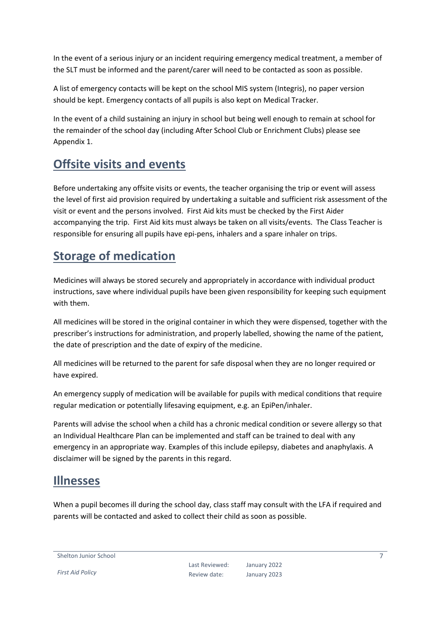In the event of a serious injury or an incident requiring emergency medical treatment, a member of the SLT must be informed and the parent/carer will need to be contacted as soon as possible.

A list of emergency contacts will be kept on the school MIS system (Integris), no paper version should be kept. Emergency contacts of all pupils is also kept on Medical Tracker.

In the event of a child sustaining an injury in school but being well enough to remain at school for the remainder of the school day (including After School Club or Enrichment Clubs) please see Appendix 1.

# <span id="page-6-0"></span>**Offsite visits and events**

Before undertaking any offsite visits or events, the teacher organising the trip or event will assess the level of first aid provision required by undertaking a suitable and sufficient risk assessment of the visit or event and the persons involved. First Aid kits must be checked by the First Aider accompanying the trip. First Aid kits must always be taken on all visits/events. The Class Teacher is responsible for ensuring all pupils have epi-pens, inhalers and a spare inhaler on trips.

# <span id="page-6-1"></span>**Storage of medication**

Medicines will always be stored securely and appropriately in accordance with individual product instructions, save where individual pupils have been given responsibility for keeping such equipment with them.

All medicines will be stored in the original container in which they were dispensed, together with the prescriber's instructions for administration, and properly labelled, showing the name of the patient, the date of prescription and the date of expiry of the medicine.

All medicines will be returned to the parent for safe disposal when they are no longer required or have expired.

An emergency supply of medication will be available for pupils with medical conditions that require regular medication or potentially lifesaving equipment, e.g. an EpiPen/inhaler.

Parents will advise the school when a child has a chronic medical condition or severe allergy so that an Individual Healthcare Plan can be implemented and staff can be trained to deal with any emergency in an appropriate way. Examples of this include epilepsy, diabetes and anaphylaxis. A disclaimer will be signed by the parents in this regard.

#### <span id="page-6-2"></span>**Illnesses**

When a pupil becomes ill during the school day, class staff may consult with the LFA if required and parents will be contacted and asked to collect their child as soon as possible.

Shelton Junior School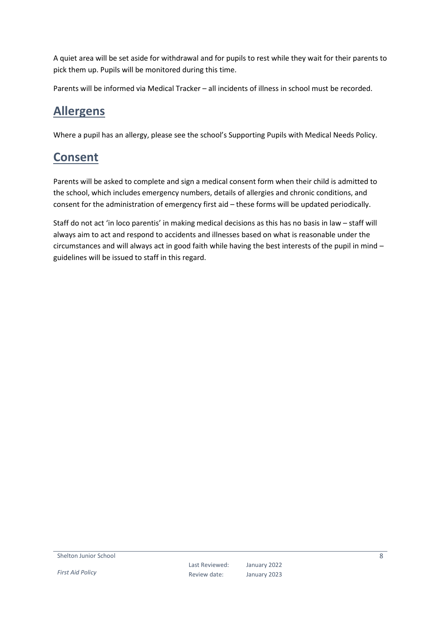A quiet area will be set aside for withdrawal and for pupils to rest while they wait for their parents to pick them up. Pupils will be monitored during this time.

Parents will be informed via Medical Tracker – all incidents of illness in school must be recorded.

#### <span id="page-7-0"></span>**Allergens**

Where a pupil has an allergy, please see the school's Supporting Pupils with Medical Needs Policy.

## <span id="page-7-1"></span>**Consent**

Parents will be asked to complete and sign a medical consent form when their child is admitted to the school, which includes emergency numbers, details of allergies and chronic conditions, and consent for the administration of emergency first aid – these forms will be updated periodically.

Staff do not act 'in loco parentis' in making medical decisions as this has no basis in law – staff will always aim to act and respond to accidents and illnesses based on what is reasonable under the circumstances and will always act in good faith while having the best interests of the pupil in mind – guidelines will be issued to staff in this regard.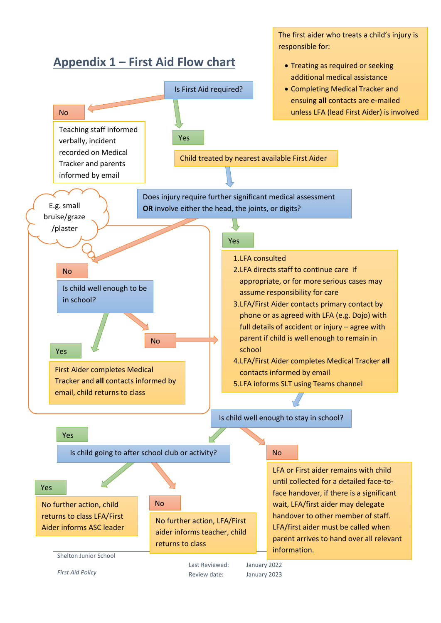<span id="page-8-0"></span>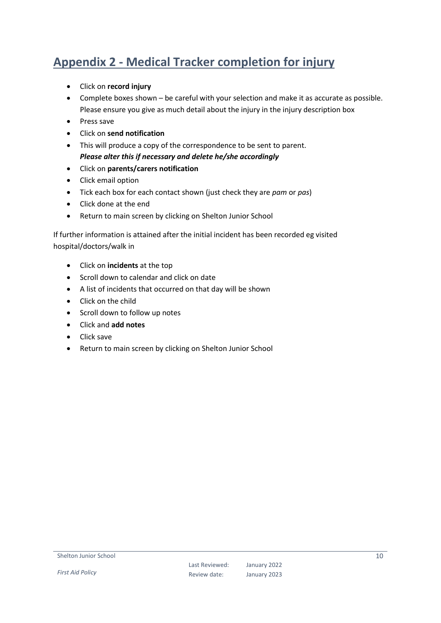# <span id="page-9-0"></span>**Appendix 2 - Medical Tracker completion for injury**

- Click on **record injury**
- Complete boxes shown be careful with your selection and make it as accurate as possible. Please ensure you give as much detail about the injury in the injury description box
- Press save
- Click on **send notification**
- This will produce a copy of the correspondence to be sent to parent. *Please alter this if necessary and delete he/she accordingly*
- Click on **parents/carers notification**
- Click email option
- Tick each box for each contact shown (just check they are *pam* or *pas*)
- Click done at the end
- Return to main screen by clicking on Shelton Junior School

If further information is attained after the initial incident has been recorded eg visited hospital/doctors/walk in

- Click on **incidents** at the top
- Scroll down to calendar and click on date
- A list of incidents that occurred on that day will be shown
- Click on the child
- Scroll down to follow up notes
- Click and **add notes**
- Click save
- Return to main screen by clicking on Shelton Junior School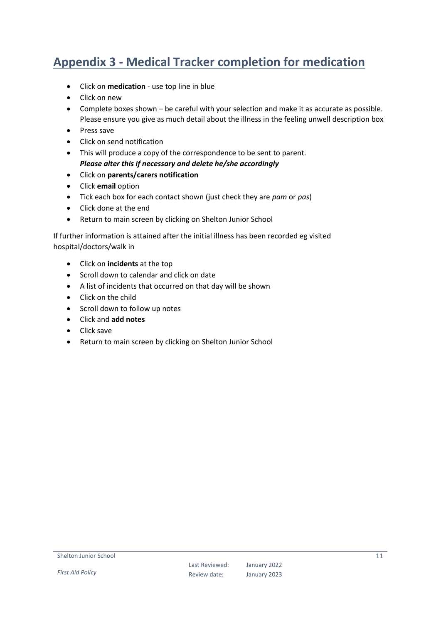# <span id="page-10-0"></span>**Appendix 3 - Medical Tracker completion for medication**

- Click on **medication** use top line in blue
- Click on new
- Complete boxes shown be careful with your selection and make it as accurate as possible. Please ensure you give as much detail about the illness in the feeling unwell description box
- Press save
- Click on send notification
- This will produce a copy of the correspondence to be sent to parent. *Please alter this if necessary and delete he/she accordingly*
- Click on **parents/carers notification**
- Click **email** option
- Tick each box for each contact shown (just check they are *pam* or *pas*)
- Click done at the end
- Return to main screen by clicking on Shelton Junior School

If further information is attained after the initial illness has been recorded eg visited hospital/doctors/walk in

- Click on **incidents** at the top
- Scroll down to calendar and click on date
- A list of incidents that occurred on that day will be shown
- Click on the child
- Scroll down to follow up notes
- Click and **add notes**
- Click save
- Return to main screen by clicking on Shelton Junior School